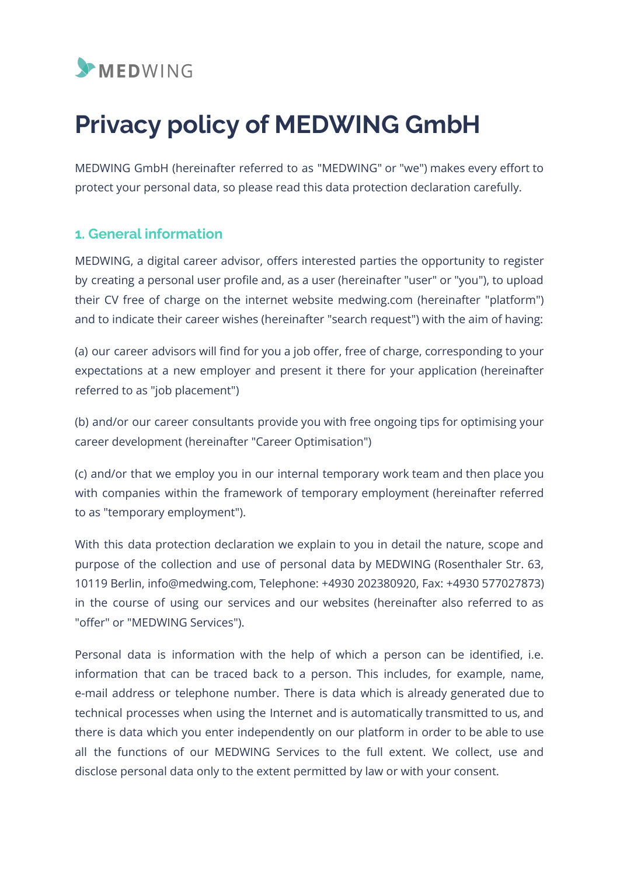

# **Privacy policy of MEDWING GmbH**

MEDWING GmbH (hereinafter referred to as "MEDWING" or "we") makes every effort to protect your personal data, so please read this data protection declaration carefully.

# **1. General information**

MEDWING, a digital career advisor, offers interested parties the opportunity to register by creating a personal user profile and, as a user (hereinafter "user" or "you"), to upload their CV free of charge on the internet website medwing.com (hereinafter "platform") and to indicate their career wishes (hereinafter "search request") with the aim of having:

(a) our career advisors will find for you a job offer, free of charge, corresponding to your expectations at a new employer and present it there for your application (hereinafter referred to as "job placement")

(b) and/or our career consultants provide you with free ongoing tips for optimising your career development (hereinafter "Career Optimisation")

(c) and/or that we employ you in our internal temporary work team and then place you with companies within the framework of temporary employment (hereinafter referred to as "temporary employment").

With this data protection declaration we explain to you in detail the nature, scope and purpose of the collection and use of personal data by MEDWING (Rosenthaler Str. 63, 10119 Berlin, info@medwing.com, Telephone: +4930 202380920, Fax: +4930 577027873) in the course of using our services and our websites (hereinafter also referred to as "offer" or "MEDWING Services").

Personal data is information with the help of which a person can be identified, i.e. information that can be traced back to a person. This includes, for example, name, e-mail address or telephone number. There is data which is already generated due to technical processes when using the Internet and is automatically transmitted to us, and there is data which you enter independently on our platform in order to be able to use all the functions of our MEDWING Services to the full extent. We collect, use and disclose personal data only to the extent permitted by law or with your consent.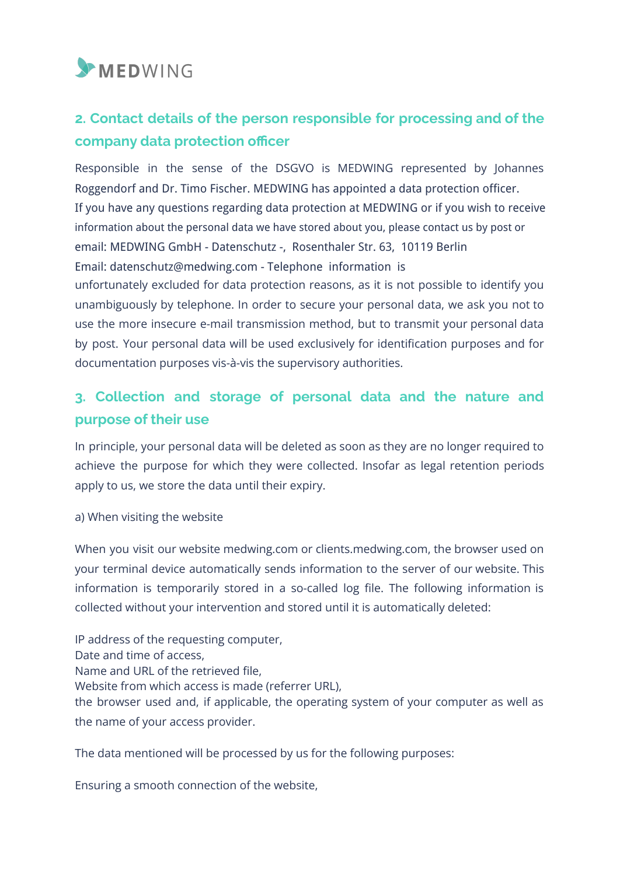

# **2. Contact details of the person responsible for processing and of the company data protection officer**

Responsible in the sense of the DSGVO is MEDWING represented by Johannes Roggendorf and Dr. Timo Fischer. MEDWING has appointed a data protection officer. If you have any questions regarding data protection at MEDWING or if you wish to receive information about the personal data we have stored about you, please contact us by post or email: MEDWING GmbH - Datenschutz -, Rosenthaler Str. 63, 10119 Berlin Email: datenschutz@medwing.com - Telephone information is unfortunately excluded for data protection reasons, as it is not possible to identify you unambiguously by telephone. In order to secure your personal data, we ask you not to use the more insecure e-mail transmission method, but to transmit your personal data by post. Your personal data will be used exclusively for identification purposes and for documentation purposes vis-à-vis the supervisory authorities.

# **3. Collection and storage of personal data and the nature and purpose of their use**

In principle, your personal data will be deleted as soon as they are no longer required to achieve the purpose for which they were collected. Insofar as legal retention periods apply to us, we store the data until their expiry.

a) When visiting the website

When you visit our website medwing.com or clients.medwing.com, the browser used on your terminal device automatically sends information to the server of our website. This information is temporarily stored in a so-called log file. The following information is collected without your intervention and stored until it is automatically deleted:

IP address of the requesting computer, Date and time of access, Name and URL of the retrieved file, Website from which access is made (referrer URL), the browser used and, if applicable, the operating system of your computer as well as the name of your access provider.

The data mentioned will be processed by us for the following purposes:

Ensuring a smooth connection of the website,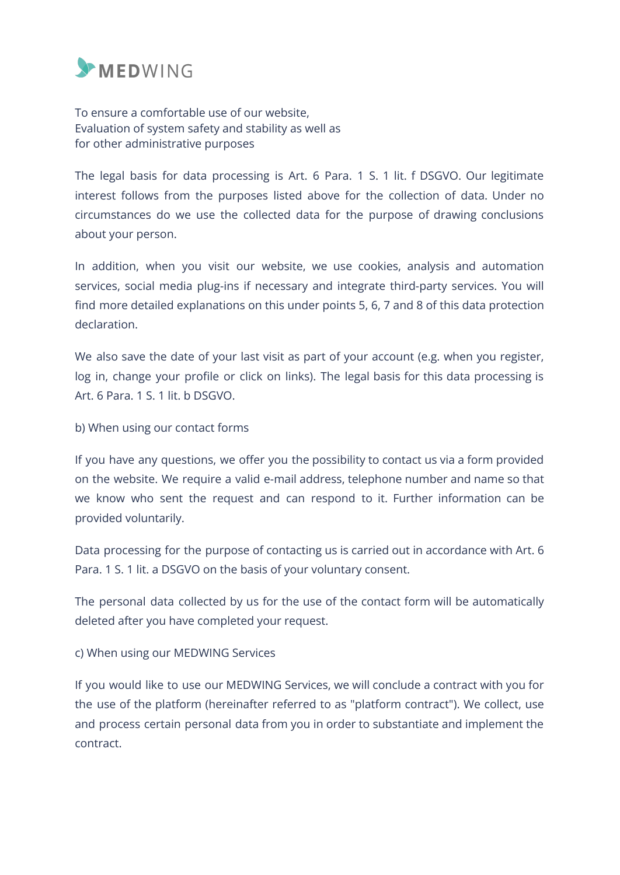

To ensure a comfortable use of our website, Evaluation of system safety and stability as well as for other administrative purposes

The legal basis for data processing is Art. 6 Para. 1 S. 1 lit. f DSGVO. Our legitimate interest follows from the purposes listed above for the collection of data. Under no circumstances do we use the collected data for the purpose of drawing conclusions about your person.

In addition, when you visit our website, we use cookies, analysis and automation services, social media plug-ins if necessary and integrate third-party services. You will find more detailed explanations on this under points 5, 6, 7 and 8 of this data protection declaration.

We also save the date of your last visit as part of your account (e.g. when you register, log in, change your profile or click on links). The legal basis for this data processing is Art. 6 Para. 1 S. 1 lit. b DSGVO.

b) When using our contact forms

If you have any questions, we offer you the possibility to contact us via a form provided on the website. We require a valid e-mail address, telephone number and name so that we know who sent the request and can respond to it. Further information can be provided voluntarily.

Data processing for the purpose of contacting us is carried out in accordance with Art. 6 Para. 1 S. 1 lit. a DSGVO on the basis of your voluntary consent.

The personal data collected by us for the use of the contact form will be automatically deleted after you have completed your request.

c) When using our MEDWING Services

If you would like to use our MEDWING Services, we will conclude a contract with you for the use of the platform (hereinafter referred to as "platform contract"). We collect, use and process certain personal data from you in order to substantiate and implement the contract.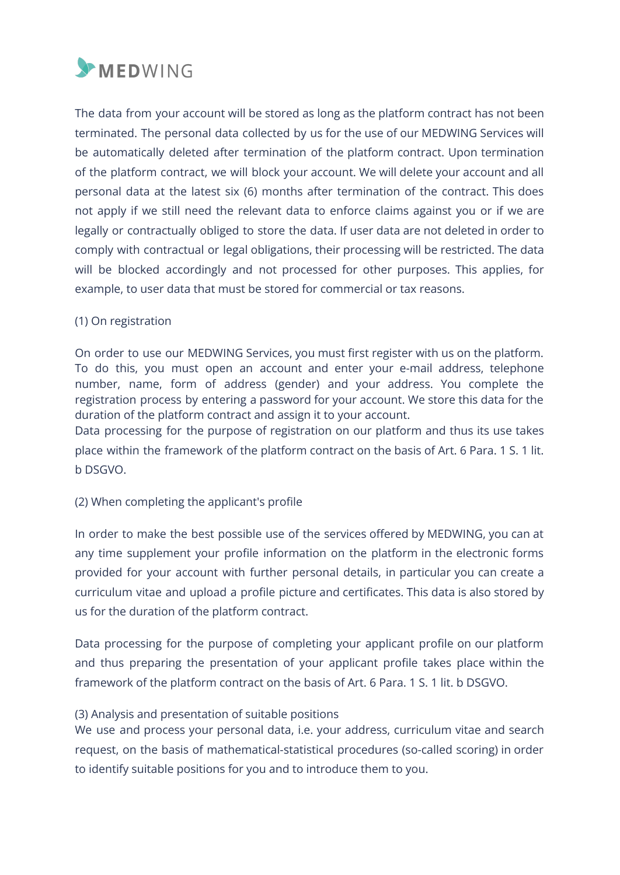

The data from your account will be stored as long as the platform contract has not been terminated. The personal data collected by us for the use of our MEDWING Services will be automatically deleted after termination of the platform contract. Upon termination of the platform contract, we will block your account. We will delete your account and all personal data at the latest six (6) months after termination of the contract. This does not apply if we still need the relevant data to enforce claims against you or if we are legally or contractually obliged to store the data. If user data are not deleted in order to comply with contractual or legal obligations, their processing will be restricted. The data will be blocked accordingly and not processed for other purposes. This applies, for example, to user data that must be stored for commercial or tax reasons.

#### (1) On registration

On order to use our MEDWING Services, you must first register with us on the platform. To do this, you must open an account and enter your e-mail address, telephone number, name, form of address (gender) and your address. You complete the registration process by entering a password for your account. We store this data for the duration of the platform contract and assign it to your account.

Data processing for the purpose of registration on our platform and thus its use takes place within the framework of the platform contract on the basis of Art. 6 Para. 1 S. 1 lit. b DSGVO.

#### (2) When completing the applicant's profile

In order to make the best possible use of the services offered by MEDWING, you can at any time supplement your profile information on the platform in the electronic forms provided for your account with further personal details, in particular you can create a curriculum vitae and upload a profile picture and certificates. This data is also stored by us for the duration of the platform contract.

Data processing for the purpose of completing your applicant profile on our platform and thus preparing the presentation of your applicant profile takes place within the framework of the platform contract on the basis of Art. 6 Para. 1 S. 1 lit. b DSGVO.

#### (3) Analysis and presentation of suitable positions

We use and process your personal data, i.e. your address, curriculum vitae and search request, on the basis of mathematical-statistical procedures (so-called scoring) in order to identify suitable positions for you and to introduce them to you.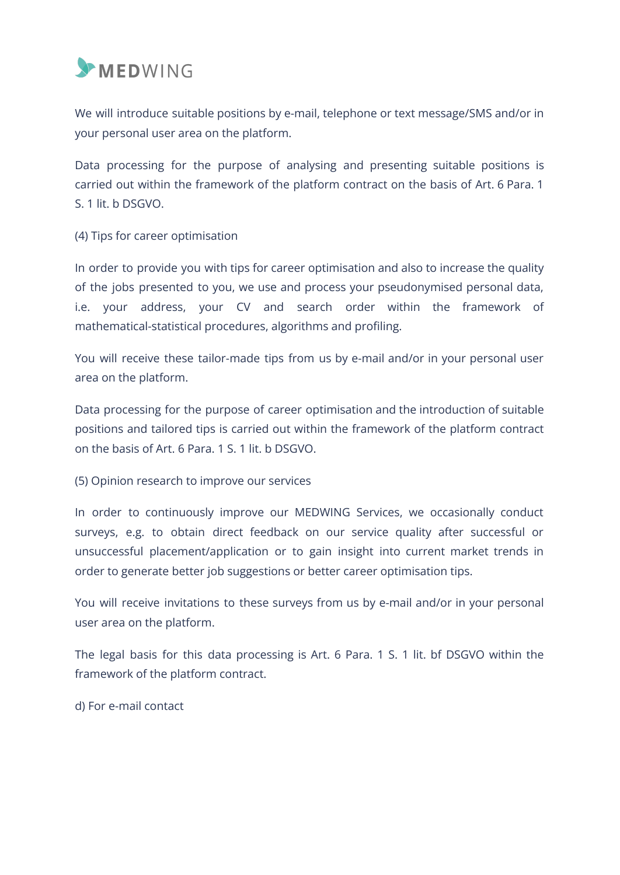

We will introduce suitable positions by e-mail, telephone or text message/SMS and/or in your personal user area on the platform.

Data processing for the purpose of analysing and presenting suitable positions is carried out within the framework of the platform contract on the basis of Art. 6 Para. 1 S. 1 lit. b DSGVO.

(4) Tips for career optimisation

In order to provide you with tips for career optimisation and also to increase the quality of the jobs presented to you, we use and process your pseudonymised personal data, i.e. your address, your CV and search order within the framework of mathematical-statistical procedures, algorithms and profiling.

You will receive these tailor-made tips from us by e-mail and/or in your personal user area on the platform.

Data processing for the purpose of career optimisation and the introduction of suitable positions and tailored tips is carried out within the framework of the platform contract on the basis of Art. 6 Para. 1 S. 1 lit. b DSGVO.

(5) Opinion research to improve our services

In order to continuously improve our MEDWING Services, we occasionally conduct surveys, e.g. to obtain direct feedback on our service quality after successful or unsuccessful placement/application or to gain insight into current market trends in order to generate better job suggestions or better career optimisation tips.

You will receive invitations to these surveys from us by e-mail and/or in your personal user area on the platform.

The legal basis for this data processing is Art. 6 Para. 1 S. 1 lit. bf DSGVO within the framework of the platform contract.

d) For e-mail contact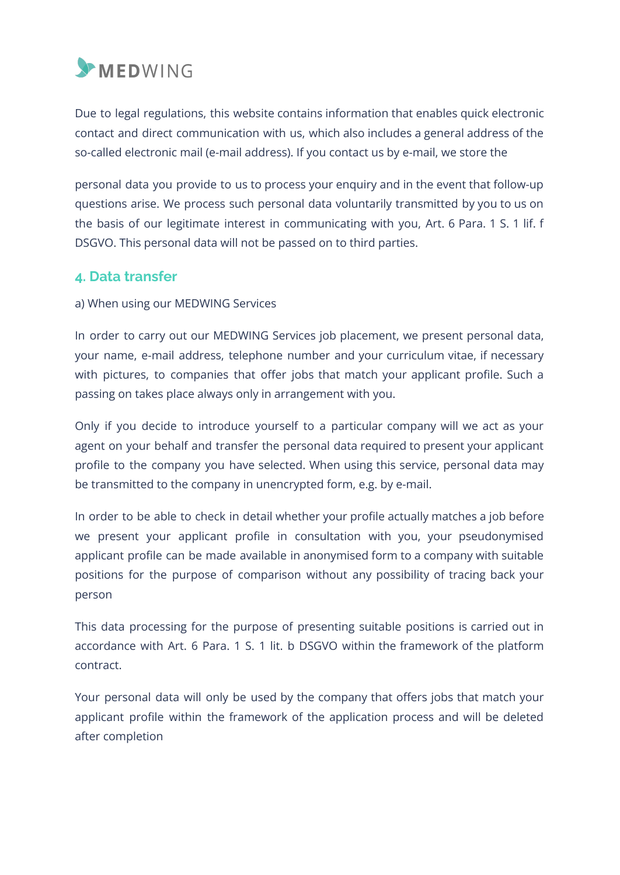

Due to legal regulations, this website contains information that enables quick electronic contact and direct communication with us, which also includes a general address of the so-called electronic mail (e-mail address). If you contact us by e-mail, we store the

personal data you provide to us to process your enquiry and in the event that follow-up questions arise. We process such personal data voluntarily transmitted by you to us on the basis of our legitimate interest in communicating with you, Art. 6 Para. 1 S. 1 lif. f DSGVO. This personal data will not be passed on to third parties.

# **4. Data transfer**

a) When using our MEDWING Services

In order to carry out our MEDWING Services job placement, we present personal data, your name, e-mail address, telephone number and your curriculum vitae, if necessary with pictures, to companies that offer jobs that match your applicant profile. Such a passing on takes place always only in arrangement with you.

Only if you decide to introduce yourself to a particular company will we act as your agent on your behalf and transfer the personal data required to present your applicant profile to the company you have selected. When using this service, personal data may be transmitted to the company in unencrypted form, e.g. by e-mail.

In order to be able to check in detail whether your profile actually matches a job before we present your applicant profile in consultation with you, your pseudonymised applicant profile can be made available in anonymised form to a company with suitable positions for the purpose of comparison without any possibility of tracing back your person

This data processing for the purpose of presenting suitable positions is carried out in accordance with Art. 6 Para. 1 S. 1 lit. b DSGVO within the framework of the platform contract.

Your personal data will only be used by the company that offers jobs that match your applicant profile within the framework of the application process and will be deleted after completion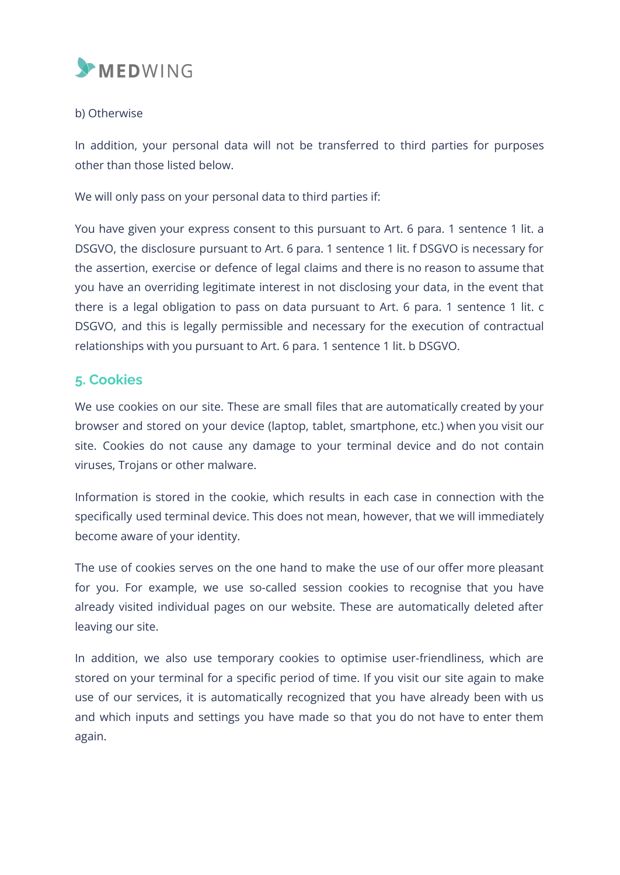

#### b) Otherwise

In addition, your personal data will not be transferred to third parties for purposes other than those listed below.

We will only pass on your personal data to third parties if:

You have given your express consent to this pursuant to Art. 6 para. 1 sentence 1 lit. a DSGVO, the disclosure pursuant to Art. 6 para. 1 sentence 1 lit. f DSGVO is necessary for the assertion, exercise or defence of legal claims and there is no reason to assume that you have an overriding legitimate interest in not disclosing your data, in the event that there is a legal obligation to pass on data pursuant to Art. 6 para. 1 sentence 1 lit. c DSGVO, and this is legally permissible and necessary for the execution of contractual relationships with you pursuant to Art. 6 para. 1 sentence 1 lit. b DSGVO.

# **5. Cookies**

We use cookies on our site. These are small files that are automatically created by your browser and stored on your device (laptop, tablet, smartphone, etc.) when you visit our site. Cookies do not cause any damage to your terminal device and do not contain viruses, Trojans or other malware.

Information is stored in the cookie, which results in each case in connection with the specifically used terminal device. This does not mean, however, that we will immediately become aware of your identity.

The use of cookies serves on the one hand to make the use of our offer more pleasant for you. For example, we use so-called session cookies to recognise that you have already visited individual pages on our website. These are automatically deleted after leaving our site.

In addition, we also use temporary cookies to optimise user-friendliness, which are stored on your terminal for a specific period of time. If you visit our site again to make use of our services, it is automatically recognized that you have already been with us and which inputs and settings you have made so that you do not have to enter them again.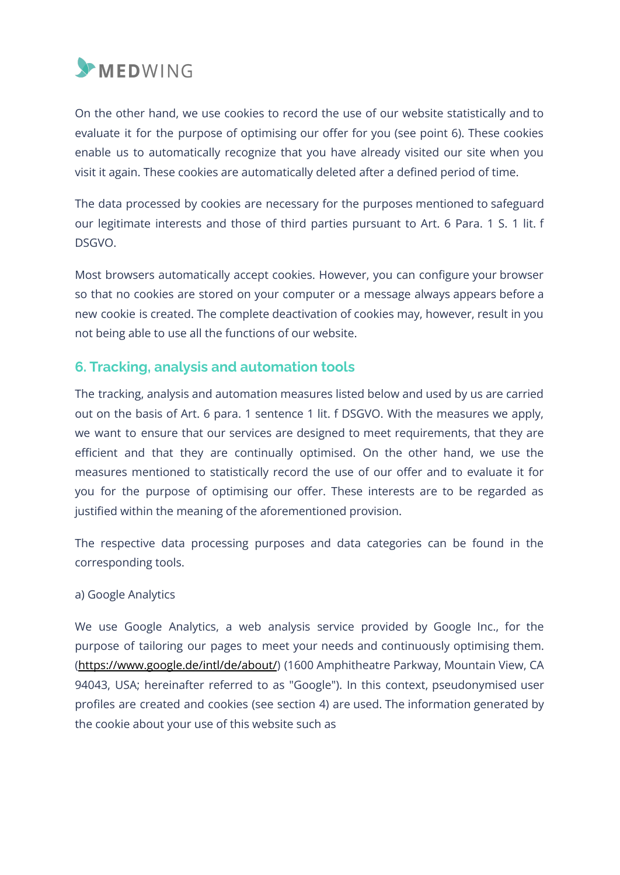

On the other hand, we use cookies to record the use of our website statistically and to evaluate it for the purpose of optimising our offer for you (see point 6). These cookies enable us to automatically recognize that you have already visited our site when you visit it again. These cookies are automatically deleted after a defined period of time.

The data processed by cookies are necessary for the purposes mentioned to safeguard our legitimate interests and those of third parties pursuant to Art. 6 Para. 1 S. 1 lit. f DSGVO.

Most browsers automatically accept cookies. However, you can configure your browser so that no cookies are stored on your computer or a message always appears before a new cookie is created. The complete deactivation of cookies may, however, result in you not being able to use all the functions of our website.

# **6. Tracking, analysis and automation tools**

The tracking, analysis and automation measures listed below and used by us are carried out on the basis of Art. 6 para. 1 sentence 1 lit. f DSGVO. With the measures we apply, we want to ensure that our services are designed to meet requirements, that they are efficient and that they are continually optimised. On the other hand, we use the measures mentioned to statistically record the use of our offer and to evaluate it for you for the purpose of optimising our offer. These interests are to be regarded as justified within the meaning of the aforementioned provision.

The respective data processing purposes and data categories can be found in the corresponding tools.

#### a) Google Analytics

We use Google Analytics, a web analysis service provided by Google Inc., for the purpose of tailoring our pages to meet your needs and continuously optimising them. (https://www.google.de/intl/de/about/) (1600 Amphitheatre Parkway, Mountain View, CA 94043, USA; hereinafter referred to as "Google"). In this context, pseudonymised user profiles are created and cookies (see section 4) are used. The information generated by the cookie about your use of this website such as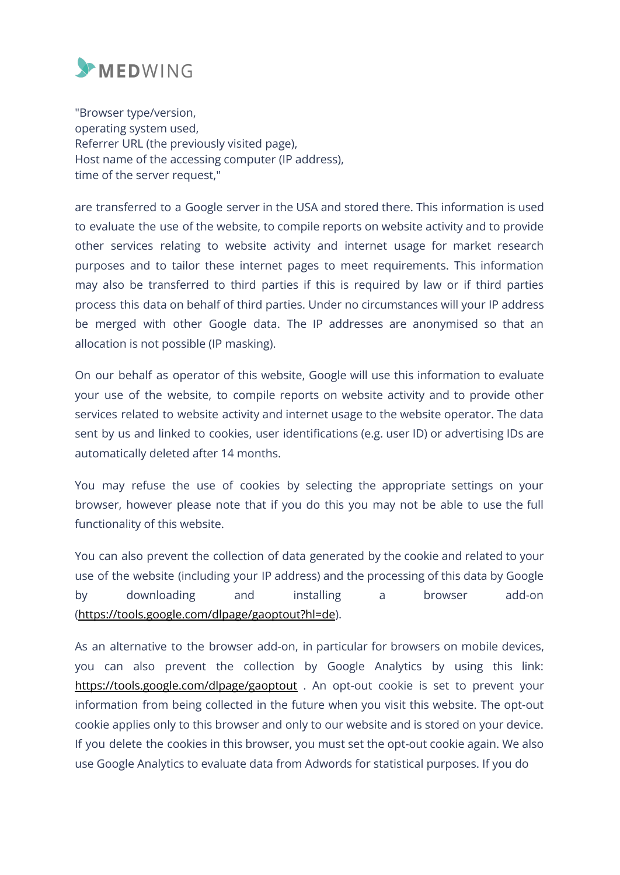

"Browser type/version, operating system used, Referrer URL (the previously visited page), Host name of the accessing computer (IP address), time of the server request,"

are transferred to a Google server in the USA and stored there. This information is used to evaluate the use of the website, to compile reports on website activity and to provide other services relating to website activity and internet usage for market research purposes and to tailor these internet pages to meet requirements. This information may also be transferred to third parties if this is required by law or if third parties process this data on behalf of third parties. Under no circumstances will your IP address be merged with other Google data. The IP addresses are anonymised so that an allocation is not possible (IP masking).

On our behalf as operator of this website, Google will use this information to evaluate your use of the website, to compile reports on website activity and to provide other services related to website activity and internet usage to the website operator. The data sent by us and linked to cookies, user identifications (e.g. user ID) or advertising IDs are automatically deleted after 14 months.

You may refuse the use of cookies by selecting the appropriate settings on your browser, however please note that if you do this you may not be able to use the full functionality of this website.

You can also prevent the collection of data generated by the cookie and related to your use of the website (including your IP address) and the processing of this data by Google by downloading and installing a browser add-on (https://tools.google.com/dlpage/gaoptout?hl=de).

As an alternative to the browser add-on, in particular for browsers on mobile devices, you can also prevent the collection by Google Analytics by using this link: https://tools.google.com/dlpage/gaoptout . An opt-out cookie is set to prevent your information from being collected in the future when you visit this website. The opt-out cookie applies only to this browser and only to our website and is stored on your device. If you delete the cookies in this browser, you must set the opt-out cookie again. We also use Google Analytics to evaluate data from Adwords for statistical purposes. If you do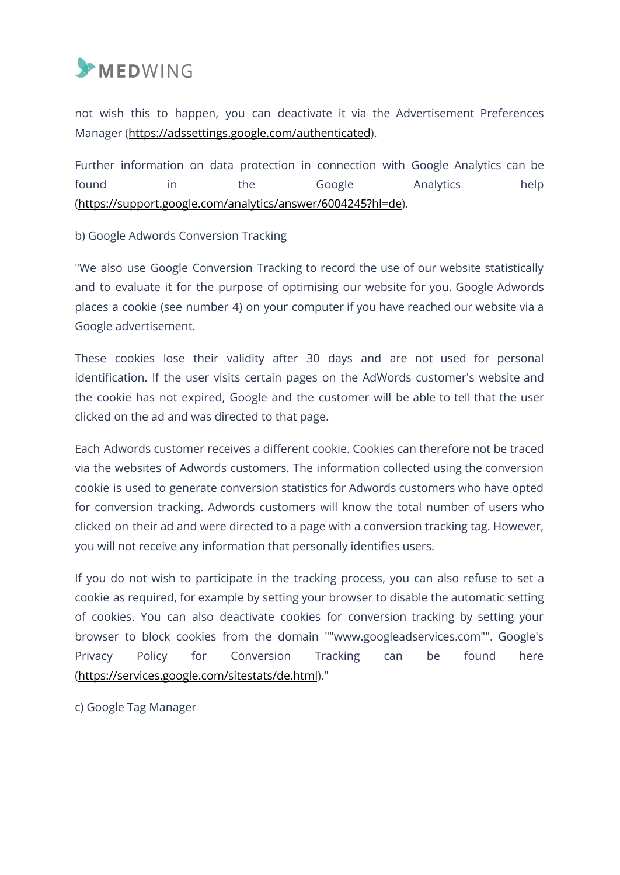

not wish this to happen, you can deactivate it via the Advertisement Preferences Manager (https://adssettings.google.com/authenticated).

Further information on data protection in connection with Google Analytics can be found in the Google Analytics help (https://support.google.com/analytics/answer/6004245?hl=de).

#### b) Google Adwords Conversion Tracking

"We also use Google Conversion Tracking to record the use of our website statistically and to evaluate it for the purpose of optimising our website for you. Google Adwords places a cookie (see number 4) on your computer if you have reached our website via a Google advertisement.

These cookies lose their validity after 30 days and are not used for personal identification. If the user visits certain pages on the AdWords customer's website and the cookie has not expired, Google and the customer will be able to tell that the user clicked on the ad and was directed to that page.

Each Adwords customer receives a different cookie. Cookies can therefore not be traced via the websites of Adwords customers. The information collected using the conversion cookie is used to generate conversion statistics for Adwords customers who have opted for conversion tracking. Adwords customers will know the total number of users who clicked on their ad and were directed to a page with a conversion tracking tag. However, you will not receive any information that personally identifies users.

If you do not wish to participate in the tracking process, you can also refuse to set a cookie as required, for example by setting your browser to disable the automatic setting of cookies. You can also deactivate cookies for conversion tracking by setting your browser to block cookies from the domain ""www.googleadservices.com"". Google's Privacy Policy for Conversion Tracking can be found here (https://services.google.com/sitestats/de.html)."

c) Google Tag Manager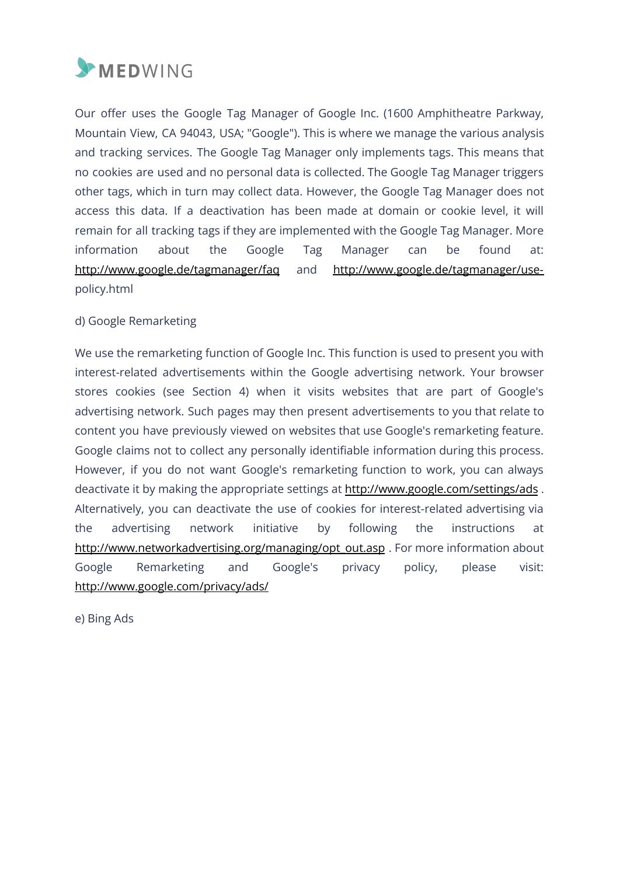

Our offer uses the Google Tag Manager of Google Inc. (1600 Amphitheatre Parkway, Mountain View, CA 94043, USA; "Google"). This is where we manage the various analysis and tracking services. The Google Tag Manager only implements tags. This means that no cookies are used and no personal data is collected. The Google Tag Manager triggers other tags, which in turn may collect data. However, the Google Tag Manager does not access this data. If a deactivation has been made at domain or cookie level, it will remain for all tracking tags if they are implemented with the Google Tag Manager. More information about the Google Tag Manager can be found at: http://www.google.de/tagmanager/faq and http://www.google.de/tagmanager/usepolicy.html

#### d) Google Remarketing

We use the remarketing function of Google Inc. This function is used to present you with interest-related advertisements within the Google advertising network. Your browser stores cookies (see Section 4) when it visits websites that are part of Google's advertising network. Such pages may then present advertisements to you that relate to content you have previously viewed on websites that use Google's remarketing feature. Google claims not to collect any personally identifiable information during this process. However, if you do not want Google's remarketing function to work, you can always deactivate it by making the appropriate settings at http://www.google.com/settings/ads . Alternatively, you can deactivate the use of cookies for interest-related advertising via the advertising network initiative by following the instructions at http://www.networkadvertising.org/managing/opt\_out.asp . For more information about Google Remarketing and Google's privacy policy, please visit: http://www.google.com/privacy/ads/

e) Bing Ads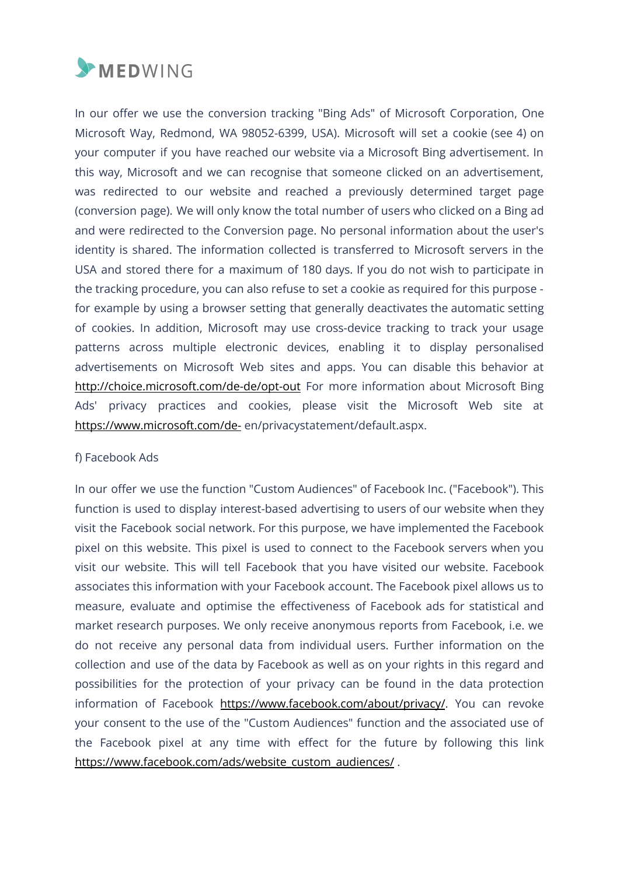

In our offer we use the conversion tracking "Bing Ads" of Microsoft Corporation, One Microsoft Way, Redmond, WA 98052-6399, USA). Microsoft will set a cookie (see 4) on your computer if you have reached our website via a Microsoft Bing advertisement. In this way, Microsoft and we can recognise that someone clicked on an advertisement, was redirected to our website and reached a previously determined target page (conversion page). We will only know the total number of users who clicked on a Bing ad and were redirected to the Conversion page. No personal information about the user's identity is shared. The information collected is transferred to Microsoft servers in the USA and stored there for a maximum of 180 days. If you do not wish to participate in the tracking procedure, you can also refuse to set a cookie as required for this purpose for example by using a browser setting that generally deactivates the automatic setting of cookies. In addition, Microsoft may use cross-device tracking to track your usage patterns across multiple electronic devices, enabling it to display personalised advertisements on Microsoft Web sites and apps. You can disable this behavior at http://choice.microsoft.com/de-de/opt-out For more information about Microsoft Bing Ads' privacy practices and cookies, please visit the Microsoft Web site at https://www.microsoft.com/de- en/privacystatement/default.aspx.

#### f) Facebook Ads

In our offer we use the function "Custom Audiences" of Facebook Inc. ("Facebook"). This function is used to display interest-based advertising to users of our website when they visit the Facebook social network. For this purpose, we have implemented the Facebook pixel on this website. This pixel is used to connect to the Facebook servers when you visit our website. This will tell Facebook that you have visited our website. Facebook associates this information with your Facebook account. The Facebook pixel allows us to measure, evaluate and optimise the effectiveness of Facebook ads for statistical and market research purposes. We only receive anonymous reports from Facebook, i.e. we do not receive any personal data from individual users. Further information on the collection and use of the data by Facebook as well as on your rights in this regard and possibilities for the protection of your privacy can be found in the data protection information of Facebook https://www.facebook.com/about/privacy/. You can revoke your consent to the use of the "Custom Audiences" function and the associated use of the Facebook pixel at any time with effect for the future by following this link https://www.facebook.com/ads/website\_custom\_audiences/.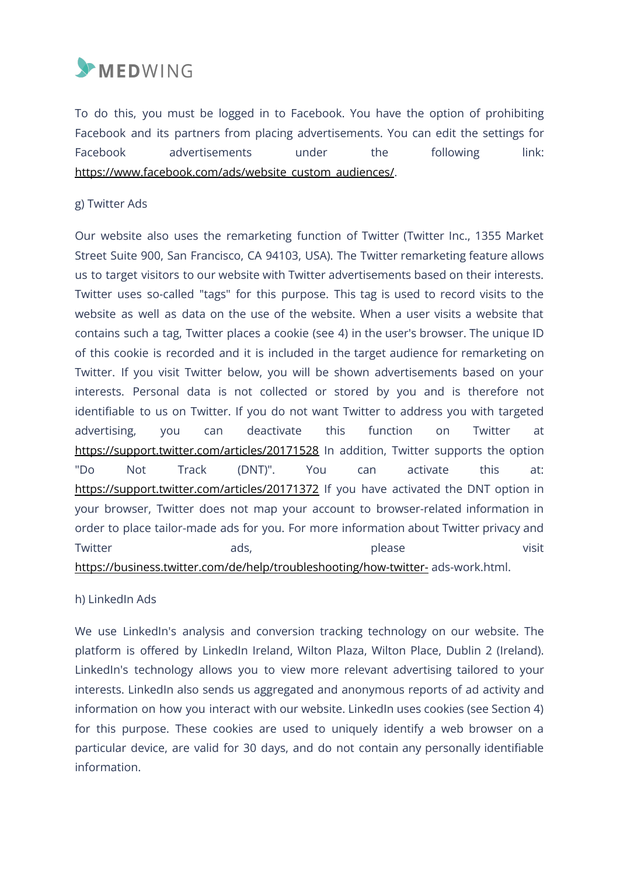

To do this, you must be logged in to Facebook. You have the option of prohibiting Facebook and its partners from placing advertisements. You can edit the settings for Facebook advertisements under the following link: https://www.facebook.com/ads/website\_custom\_audiences/.

#### g) Twitter Ads

Our website also uses the remarketing function of Twitter (Twitter Inc., 1355 Market Street Suite 900, San Francisco, CA 94103, USA). The Twitter remarketing feature allows us to target visitors to our website with Twitter advertisements based on their interests. Twitter uses so-called "tags" for this purpose. This tag is used to record visits to the website as well as data on the use of the website. When a user visits a website that contains such a tag, Twitter places a cookie (see 4) in the user's browser. The unique ID of this cookie is recorded and it is included in the target audience for remarketing on Twitter. If you visit Twitter below, you will be shown advertisements based on your interests. Personal data is not collected or stored by you and is therefore not identifiable to us on Twitter. If you do not want Twitter to address you with targeted advertising, you can deactivate this function on Twitter at https://support.twitter.com/articles/20171528 In addition, Twitter supports the option "Do Not Track (DNT)". You can activate this at: https://support.twitter.com/articles/20171372 If you have activated the DNT option in your browser, Twitter does not map your account to browser-related information in order to place tailor-made ads for you. For more information about Twitter privacy and Twitter ads, please visit https://business.twitter.com/de/help/troubleshooting/how-twitter- ads-work.html.

#### h) LinkedIn Ads

We use LinkedIn's analysis and conversion tracking technology on our website. The platform is offered by LinkedIn Ireland, Wilton Plaza, Wilton Place, Dublin 2 (Ireland). LinkedIn's technology allows you to view more relevant advertising tailored to your interests. LinkedIn also sends us aggregated and anonymous reports of ad activity and information on how you interact with our website. LinkedIn uses cookies (see Section 4) for this purpose. These cookies are used to uniquely identify a web browser on a particular device, are valid for 30 days, and do not contain any personally identifiable information.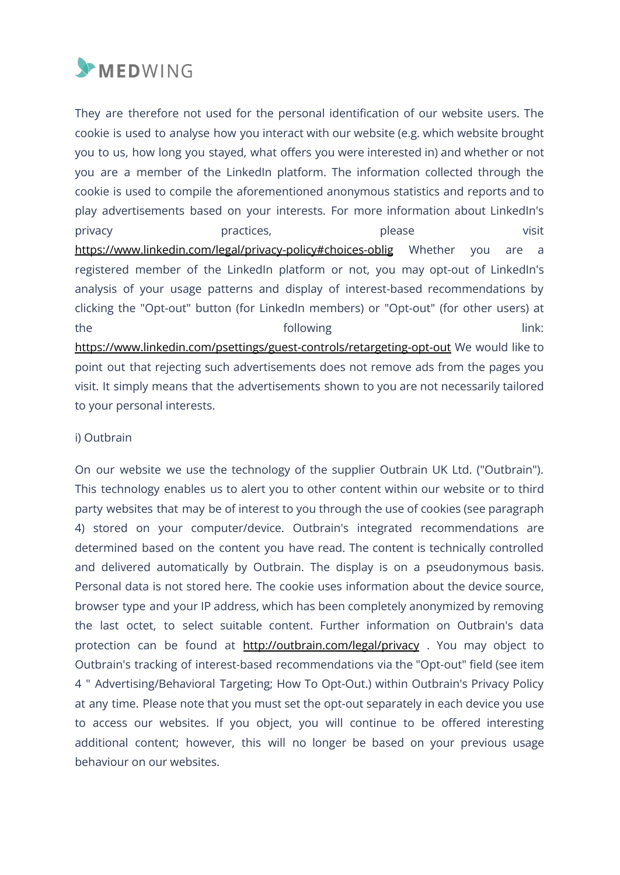

They are therefore not used for the personal identification of our website users. The cookie is used to analyse how you interact with our website (e.g. which website brought you to us, how long you stayed, what offers you were interested in) and whether or not you are a member of the LinkedIn platform. The information collected through the cookie is used to compile the aforementioned anonymous statistics and reports and to play advertisements based on your interests. For more information about LinkedIn's privacy practices, please visit https://www.linkedin.com/legal/privacy-policy#choices-oblig Whether you are a registered member of the LinkedIn platform or not, you may opt-out of LinkedIn's analysis of your usage patterns and display of interest-based recommendations by clicking the "Opt-out" button (for LinkedIn members) or "Opt-out" (for other users) at the following the following the following  $\qquad \qquad$  link: https://www.linkedin.com/psettings/guest-controls/retargeting-opt-out We would like to point out that rejecting such advertisements does not remove ads from the pages you visit. It simply means that the advertisements shown to you are not necessarily tailored to your personal interests.

#### i) Outbrain

On our website we use the technology of the supplier Outbrain UK Ltd. ("Outbrain"). This technology enables us to alert you to other content within our website or to third party websites that may be of interest to you through the use of cookies (see paragraph 4) stored on your computer/device. Outbrain's integrated recommendations are determined based on the content you have read. The content is technically controlled and delivered automatically by Outbrain. The display is on a pseudonymous basis. Personal data is not stored here. The cookie uses information about the device source, browser type and your IP address, which has been completely anonymized by removing the last octet, to select suitable content. Further information on Outbrain's data protection can be found at http://outbrain.com/legal/privacy . You may object to Outbrain's tracking of interest-based recommendations via the "Opt-out" field (see item 4 " Advertising/Behavioral Targeting; How To Opt-Out.) within Outbrain's Privacy Policy at any time. Please note that you must set the opt-out separately in each device you use to access our websites. If you object, you will continue to be offered interesting additional content; however, this will no longer be based on your previous usage behaviour on our websites.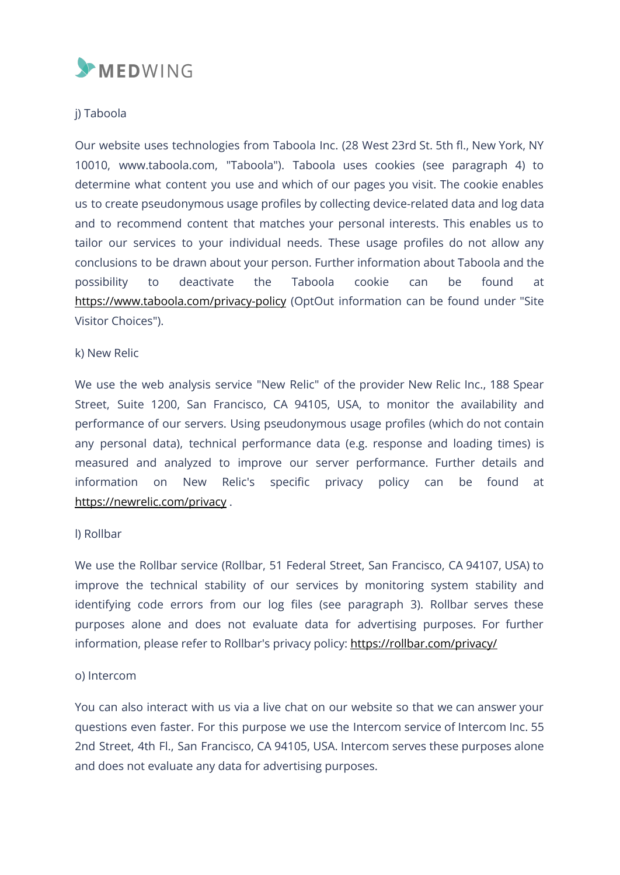

#### j) Taboola

Our website uses technologies from Taboola Inc. (28 West 23rd St. 5th fl., New York, NY 10010, www.taboola.com, "Taboola"). Taboola uses cookies (see paragraph 4) to determine what content you use and which of our pages you visit. The cookie enables us to create pseudonymous usage profiles by collecting device-related data and log data and to recommend content that matches your personal interests. This enables us to tailor our services to your individual needs. These usage profiles do not allow any conclusions to be drawn about your person. Further information about Taboola and the possibility to deactivate the Taboola cookie can be found at https://www.taboola.com/privacy-policy (OptOut information can be found under "Site Visitor Choices").

#### k) New Relic

We use the web analysis service "New Relic" of the provider New Relic Inc., 188 Spear Street, Suite 1200, San Francisco, CA 94105, USA, to monitor the availability and performance of our servers. Using pseudonymous usage profiles (which do not contain any personal data), technical performance data (e.g. response and loading times) is measured and analyzed to improve our server performance. Further details and information on New Relic's specific privacy policy can be found at https://newrelic.com/privacy .

#### l) Rollbar

We use the Rollbar service (Rollbar, 51 Federal Street, San Francisco, CA 94107, USA) to improve the technical stability of our services by monitoring system stability and identifying code errors from our log files (see paragraph 3). Rollbar serves these purposes alone and does not evaluate data for advertising purposes. For further information, please refer to Rollbar's privacy policy: https://rollbar.com/privacy/

#### o) Intercom

You can also interact with us via a live chat on our website so that we can answer your questions even faster. For this purpose we use the Intercom service of Intercom Inc. 55 2nd Street, 4th Fl., San Francisco, CA 94105, USA. Intercom serves these purposes alone and does not evaluate any data for advertising purposes.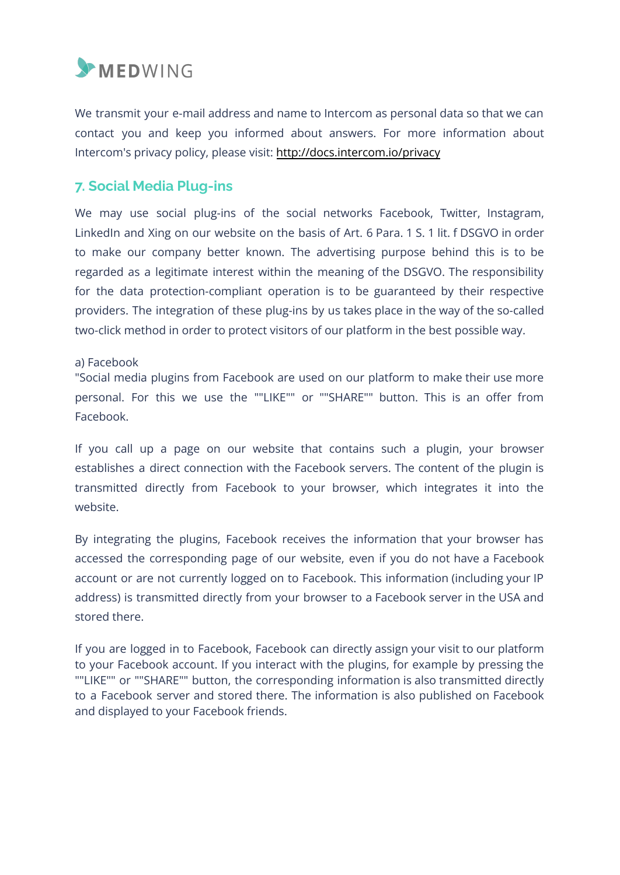

We transmit your e-mail address and name to Intercom as personal data so that we can contact you and keep you informed about answers. For more information about Intercom's privacy policy, please visit: http://docs.intercom.io/privacy

# **7. Social Media Plug-ins**

We may use social plug-ins of the social networks Facebook, Twitter, Instagram, LinkedIn and Xing on our website on the basis of Art. 6 Para. 1 S. 1 lit. f DSGVO in order to make our company better known. The advertising purpose behind this is to be regarded as a legitimate interest within the meaning of the DSGVO. The responsibility for the data protection-compliant operation is to be guaranteed by their respective providers. The integration of these plug-ins by us takes place in the way of the so-called two-click method in order to protect visitors of our platform in the best possible way.

#### a) Facebook

"Social media plugins from Facebook are used on our platform to make their use more personal. For this we use the ""LIKE"" or ""SHARE"" button. This is an offer from Facebook.

If you call up a page on our website that contains such a plugin, your browser establishes a direct connection with the Facebook servers. The content of the plugin is transmitted directly from Facebook to your browser, which integrates it into the website.

By integrating the plugins, Facebook receives the information that your browser has accessed the corresponding page of our website, even if you do not have a Facebook account or are not currently logged on to Facebook. This information (including your IP address) is transmitted directly from your browser to a Facebook server in the USA and stored there.

If you are logged in to Facebook, Facebook can directly assign your visit to our platform to your Facebook account. If you interact with the plugins, for example by pressing the ""LIKE"" or ""SHARE"" button, the corresponding information is also transmitted directly to a Facebook server and stored there. The information is also published on Facebook and displayed to your Facebook friends.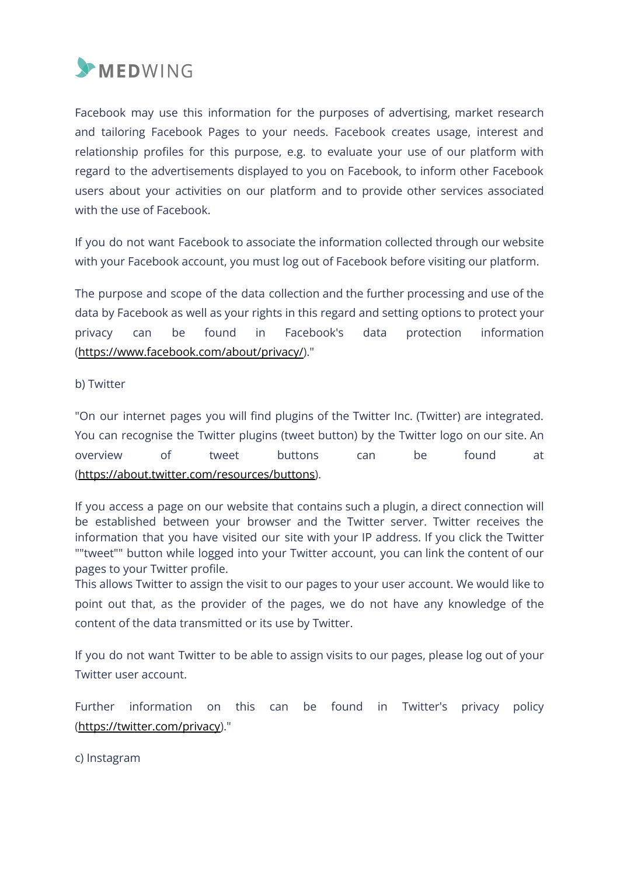

Facebook may use this information for the purposes of advertising, market research and tailoring Facebook Pages to your needs. Facebook creates usage, interest and relationship profiles for this purpose, e.g. to evaluate your use of our platform with regard to the advertisements displayed to you on Facebook, to inform other Facebook users about your activities on our platform and to provide other services associated with the use of Facebook.

If you do not want Facebook to associate the information collected through our website with your Facebook account, you must log out of Facebook before visiting our platform.

The purpose and scope of the data collection and the further processing and use of the data by Facebook as well as your rights in this regard and setting options to protect your privacy can be found in Facebook's data protection information (https://www.facebook.com/about/privacy/)."

b) Twitter

"On our internet pages you will find plugins of the Twitter Inc. (Twitter) are integrated. You can recognise the Twitter plugins (tweet button) by the Twitter logo on our site. An overview of tweet buttons can be found at (https://about.twitter.com/resources/buttons).

If you access a page on our website that contains such a plugin, a direct connection will be established between your browser and the Twitter server. Twitter receives the information that you have visited our site with your IP address. If you click the Twitter ""tweet"" button while logged into your Twitter account, you can link the content of our pages to your Twitter profile.

This allows Twitter to assign the visit to our pages to your user account. We would like to point out that, as the provider of the pages, we do not have any knowledge of the content of the data transmitted or its use by Twitter.

If you do not want Twitter to be able to assign visits to our pages, please log out of your Twitter user account.

Further information on this can be found in Twitter's privacy policy (https://twitter.com/privacy)."

c) Instagram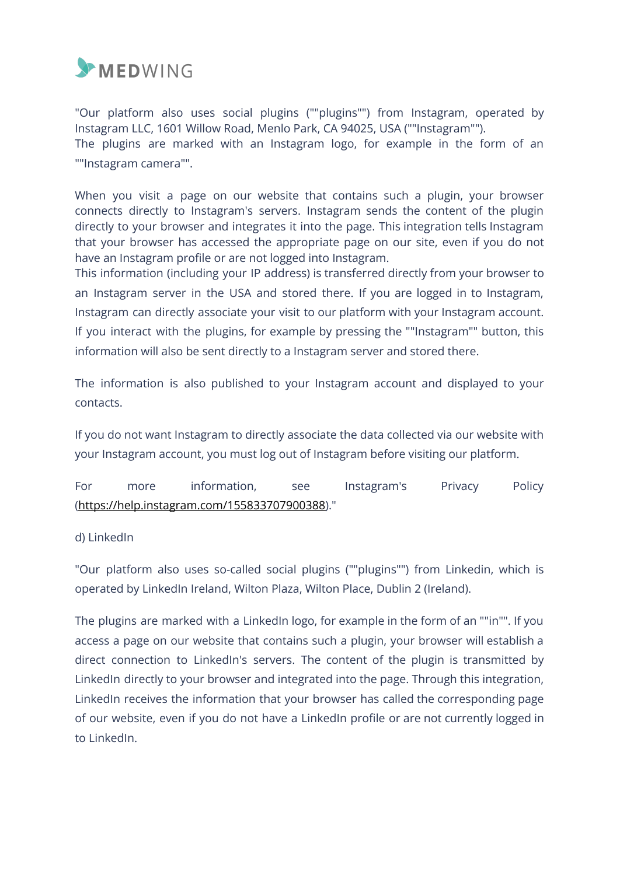

"Our platform also uses social plugins (""plugins"") from Instagram, operated by Instagram LLC, 1601 Willow Road, Menlo Park, CA 94025, USA (""Instagram""). The plugins are marked with an Instagram logo, for example in the form of an ""Instagram camera"".

When you visit a page on our website that contains such a plugin, your browser connects directly to Instagram's servers. Instagram sends the content of the plugin directly to your browser and integrates it into the page. This integration tells Instagram that your browser has accessed the appropriate page on our site, even if you do not have an Instagram profile or are not logged into Instagram.

This information (including your IP address) is transferred directly from your browser to an Instagram server in the USA and stored there. If you are logged in to Instagram, Instagram can directly associate your visit to our platform with your Instagram account. If you interact with the plugins, for example by pressing the ""Instagram"" button, this information will also be sent directly to a Instagram server and stored there.

The information is also published to your Instagram account and displayed to your contacts.

If you do not want Instagram to directly associate the data collected via our website with your Instagram account, you must log out of Instagram before visiting our platform.

For more information, see Instagram's Privacy Policy (https://help.instagram.com/155833707900388)."

#### d) LinkedIn

"Our platform also uses so-called social plugins (""plugins"") from Linkedin, which is operated by LinkedIn Ireland, Wilton Plaza, Wilton Place, Dublin 2 (Ireland).

The plugins are marked with a LinkedIn logo, for example in the form of an ""in"". If you access a page on our website that contains such a plugin, your browser will establish a direct connection to LinkedIn's servers. The content of the plugin is transmitted by LinkedIn directly to your browser and integrated into the page. Through this integration, LinkedIn receives the information that your browser has called the corresponding page of our website, even if you do not have a LinkedIn profile or are not currently logged in to LinkedIn.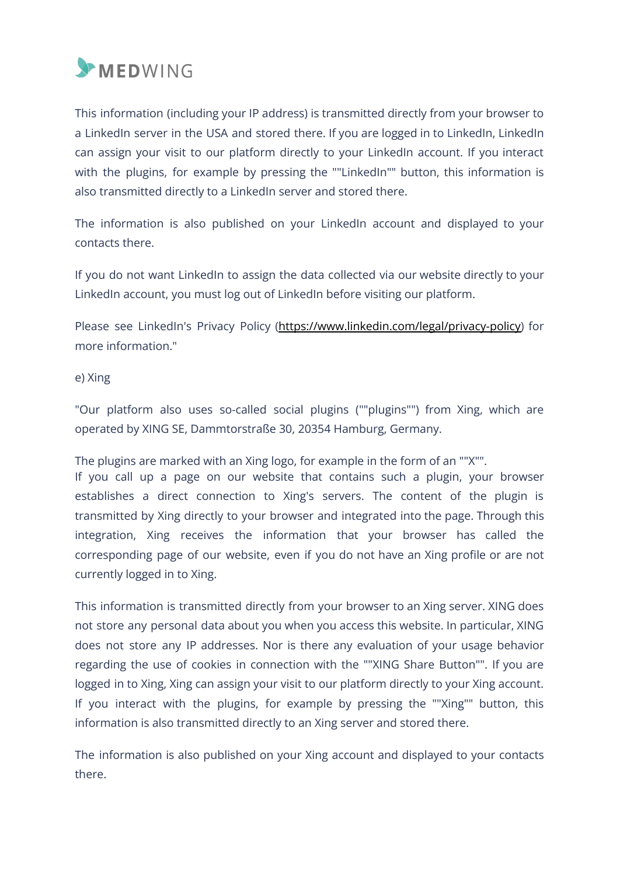

This information (including your IP address) is transmitted directly from your browser to a LinkedIn server in the USA and stored there. If you are logged in to LinkedIn, LinkedIn can assign your visit to our platform directly to your LinkedIn account. If you interact with the plugins, for example by pressing the ""LinkedIn"" button, this information is also transmitted directly to a LinkedIn server and stored there.

The information is also published on your LinkedIn account and displayed to your contacts there.

If you do not want LinkedIn to assign the data collected via our website directly to your LinkedIn account, you must log out of LinkedIn before visiting our platform.

Please see LinkedIn's Privacy Policy (https://www.linkedin.com/legal/privacy-policy) for more information."

#### e) Xing

"Our platform also uses so-called social plugins (""plugins"") from Xing, which are operated by XING SE, Dammtorstraße 30, 20354 Hamburg, Germany.

The plugins are marked with an Xing logo, for example in the form of an ""X"".

If you call up a page on our website that contains such a plugin, your browser establishes a direct connection to Xing's servers. The content of the plugin is transmitted by Xing directly to your browser and integrated into the page. Through this integration, Xing receives the information that your browser has called the corresponding page of our website, even if you do not have an Xing profile or are not currently logged in to Xing.

This information is transmitted directly from your browser to an Xing server. XING does not store any personal data about you when you access this website. In particular, XING does not store any IP addresses. Nor is there any evaluation of your usage behavior regarding the use of cookies in connection with the ""XING Share Button"". If you are logged in to Xing, Xing can assign your visit to our platform directly to your Xing account. If you interact with the plugins, for example by pressing the ""Xing"" button, this information is also transmitted directly to an Xing server and stored there.

The information is also published on your Xing account and displayed to your contacts there.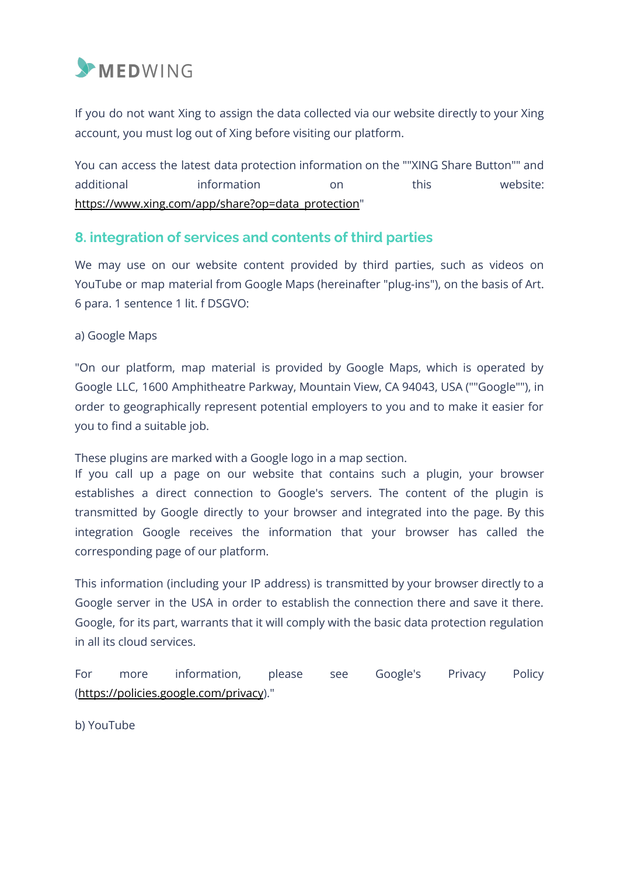

If you do not want Xing to assign the data collected via our website directly to your Xing account, you must log out of Xing before visiting our platform.

You can access the latest data protection information on the ""XING Share Button"" and additional information on this website: https://www.xing.com/app/share?op=data\_protection"

# **8. integration of services and contents of third parties**

We may use on our website content provided by third parties, such as videos on YouTube or map material from Google Maps (hereinafter "plug-ins"), on the basis of Art. 6 para. 1 sentence 1 lit. f DSGVO:

#### a) Google Maps

"On our platform, map material is provided by Google Maps, which is operated by Google LLC, 1600 Amphitheatre Parkway, Mountain View, CA 94043, USA (""Google""), in order to geographically represent potential employers to you and to make it easier for you to find a suitable job.

These plugins are marked with a Google logo in a map section.

If you call up a page on our website that contains such a plugin, your browser establishes a direct connection to Google's servers. The content of the plugin is transmitted by Google directly to your browser and integrated into the page. By this integration Google receives the information that your browser has called the corresponding page of our platform.

This information (including your IP address) is transmitted by your browser directly to a Google server in the USA in order to establish the connection there and save it there. Google, for its part, warrants that it will comply with the basic data protection regulation in all its cloud services.

For more information, please see Google's Privacy Policy (https://policies.google.com/privacy)."

b) YouTube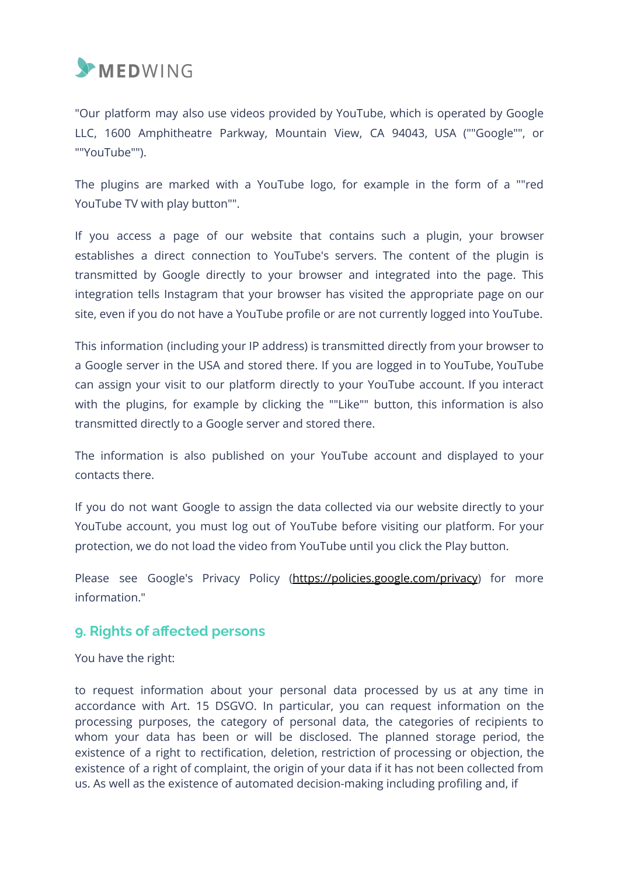

"Our platform may also use videos provided by YouTube, which is operated by Google LLC, 1600 Amphitheatre Parkway, Mountain View, CA 94043, USA (""Google"", or ""YouTube"").

The plugins are marked with a YouTube logo, for example in the form of a ""red YouTube TV with play button"".

If you access a page of our website that contains such a plugin, your browser establishes a direct connection to YouTube's servers. The content of the plugin is transmitted by Google directly to your browser and integrated into the page. This integration tells Instagram that your browser has visited the appropriate page on our site, even if you do not have a YouTube profile or are not currently logged into YouTube.

This information (including your IP address) is transmitted directly from your browser to a Google server in the USA and stored there. If you are logged in to YouTube, YouTube can assign your visit to our platform directly to your YouTube account. If you interact with the plugins, for example by clicking the ""Like"" button, this information is also transmitted directly to a Google server and stored there.

The information is also published on your YouTube account and displayed to your contacts there.

If you do not want Google to assign the data collected via our website directly to your YouTube account, you must log out of YouTube before visiting our platform. For your protection, we do not load the video from YouTube until you click the Play button.

Please see Google's Privacy Policy (https://policies.google.com/privacy) for more information."

# **9. Rights of affected persons**

You have the right:

to request information about your personal data processed by us at any time in accordance with Art. 15 DSGVO. In particular, you can request information on the processing purposes, the category of personal data, the categories of recipients to whom your data has been or will be disclosed. The planned storage period, the existence of a right to rectification, deletion, restriction of processing or objection, the existence of a right of complaint, the origin of your data if it has not been collected from us. As well as the existence of automated decision-making including profiling and, if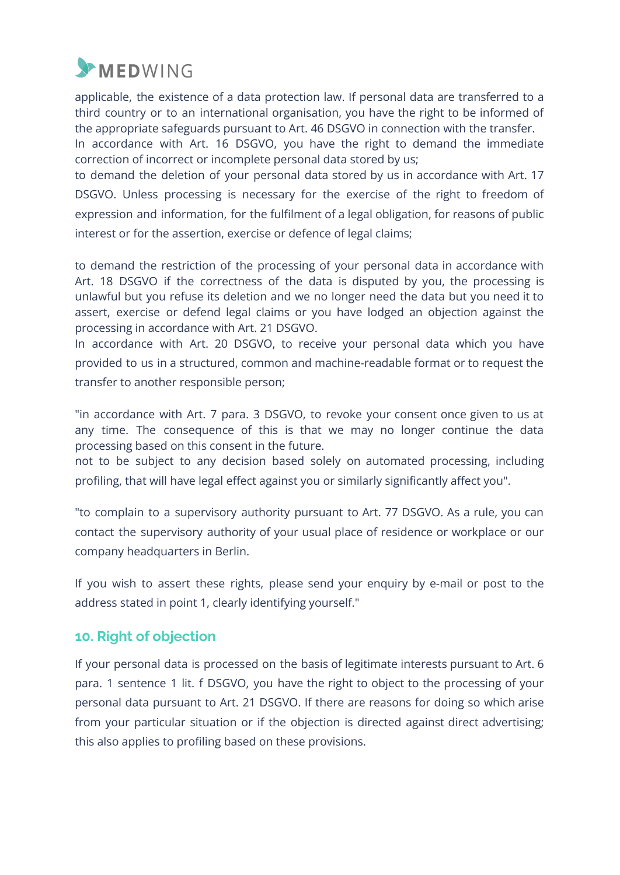

applicable, the existence of a data protection law. If personal data are transferred to a third country or to an international organisation, you have the right to be informed of the appropriate safeguards pursuant to Art. 46 DSGVO in connection with the transfer.

In accordance with Art. 16 DSGVO, you have the right to demand the immediate correction of incorrect or incomplete personal data stored by us;

to demand the deletion of your personal data stored by us in accordance with Art. 17 DSGVO. Unless processing is necessary for the exercise of the right to freedom of expression and information, for the fulfilment of a legal obligation, for reasons of public interest or for the assertion, exercise or defence of legal claims;

to demand the restriction of the processing of your personal data in accordance with Art. 18 DSGVO if the correctness of the data is disputed by you, the processing is unlawful but you refuse its deletion and we no longer need the data but you need it to assert, exercise or defend legal claims or you have lodged an objection against the processing in accordance with Art. 21 DSGVO.

In accordance with Art. 20 DSGVO, to receive your personal data which you have provided to us in a structured, common and machine-readable format or to request the transfer to another responsible person;

"in accordance with Art. 7 para. 3 DSGVO, to revoke your consent once given to us at any time. The consequence of this is that we may no longer continue the data processing based on this consent in the future.

not to be subject to any decision based solely on automated processing, including profiling, that will have legal effect against you or similarly significantly affect you".

"to complain to a supervisory authority pursuant to Art. 77 DSGVO. As a rule, you can contact the supervisory authority of your usual place of residence or workplace or our company headquarters in Berlin.

If you wish to assert these rights, please send your enquiry by e-mail or post to the address stated in point 1, clearly identifying yourself."

# **10. Right of objection**

If your personal data is processed on the basis of legitimate interests pursuant to Art. 6 para. 1 sentence 1 lit. f DSGVO, you have the right to object to the processing of your personal data pursuant to Art. 21 DSGVO. If there are reasons for doing so which arise from your particular situation or if the objection is directed against direct advertising; this also applies to profiling based on these provisions.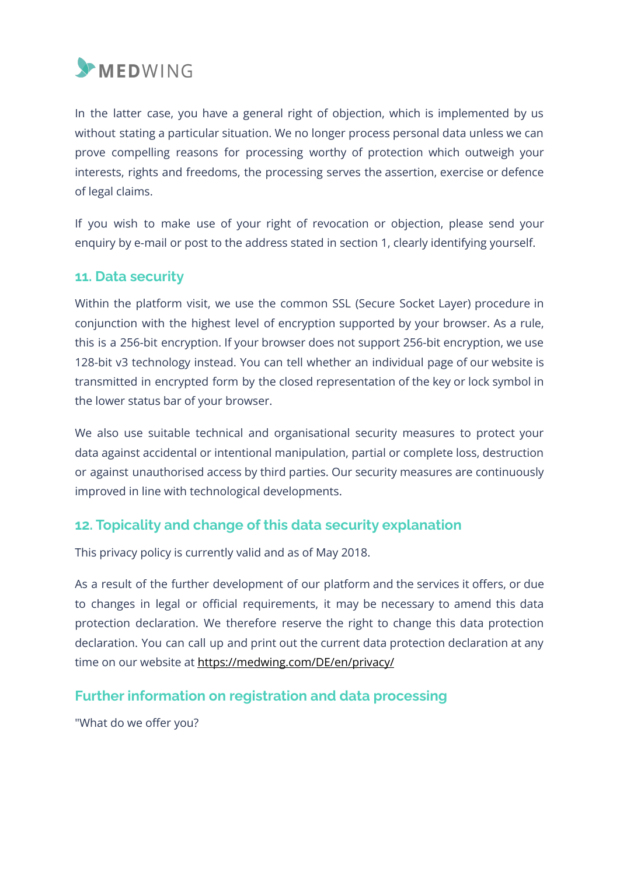

In the latter case, you have a general right of objection, which is implemented by us without stating a particular situation. We no longer process personal data unless we can prove compelling reasons for processing worthy of protection which outweigh your interests, rights and freedoms, the processing serves the assertion, exercise or defence of legal claims.

If you wish to make use of your right of revocation or objection, please send your enquiry by e-mail or post to the address stated in section 1, clearly identifying yourself.

# **11. Data security**

Within the platform visit, we use the common SSL (Secure Socket Layer) procedure in conjunction with the highest level of encryption supported by your browser. As a rule, this is a 256-bit encryption. If your browser does not support 256-bit encryption, we use 128-bit v3 technology instead. You can tell whether an individual page of our website is transmitted in encrypted form by the closed representation of the key or lock symbol in the lower status bar of your browser.

We also use suitable technical and organisational security measures to protect your data against accidental or intentional manipulation, partial or complete loss, destruction or against unauthorised access by third parties. Our security measures are continuously improved in line with technological developments.

# **12. Topicality and change of this data security explanation**

This privacy policy is currently valid and as of May 2018.

As a result of the further development of our platform and the services it offers, or due to changes in legal or official requirements, it may be necessary to amend this data protection declaration. We therefore reserve the right to change this data protection declaration. You can call up and print out the current data protection declaration at any time on our website at https://medwing.com/DE/en/privacy/

# **Further information on registration and data processing**

"What do we offer you?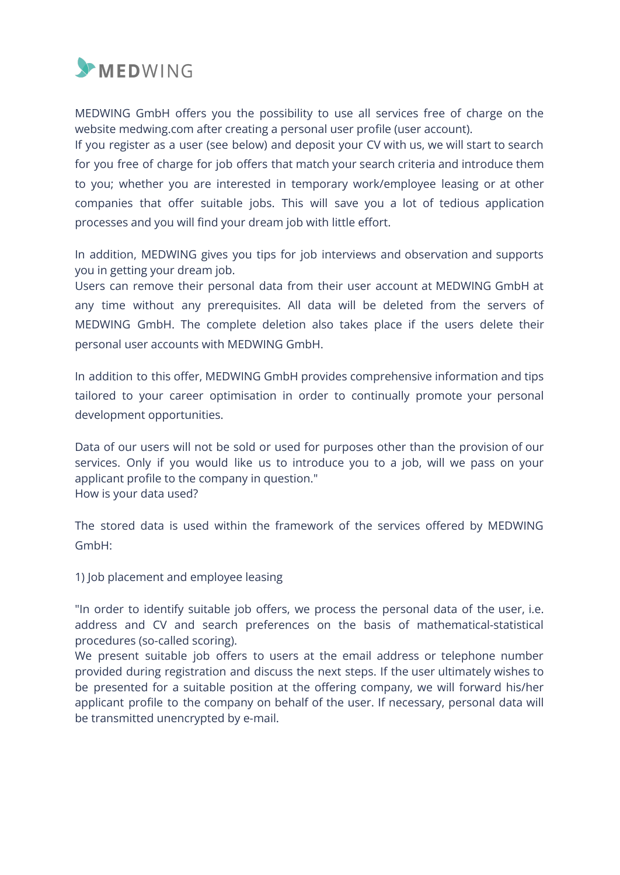

MEDWING GmbH offers you the possibility to use all services free of charge on the website medwing.com after creating a personal user profile (user account).

If you register as a user (see below) and deposit your CV with us, we will start to search for you free of charge for job offers that match your search criteria and introduce them to you; whether you are interested in temporary work/employee leasing or at other companies that offer suitable jobs. This will save you a lot of tedious application processes and you will find your dream job with little effort.

In addition, MEDWING gives you tips for job interviews and observation and supports you in getting your dream job.

Users can remove their personal data from their user account at MEDWING GmbH at any time without any prerequisites. All data will be deleted from the servers of MEDWING GmbH. The complete deletion also takes place if the users delete their personal user accounts with MEDWING GmbH.

In addition to this offer, MEDWING GmbH provides comprehensive information and tips tailored to your career optimisation in order to continually promote your personal development opportunities.

Data of our users will not be sold or used for purposes other than the provision of our services. Only if you would like us to introduce you to a job, will we pass on your applicant profile to the company in question." How is your data used?

The stored data is used within the framework of the services offered by MEDWING GmbH:

1) Job placement and employee leasing

"In order to identify suitable job offers, we process the personal data of the user, i.e. address and CV and search preferences on the basis of mathematical-statistical procedures (so-called scoring).

We present suitable job offers to users at the email address or telephone number provided during registration and discuss the next steps. If the user ultimately wishes to be presented for a suitable position at the offering company, we will forward his/her applicant profile to the company on behalf of the user. If necessary, personal data will be transmitted unencrypted by e-mail.